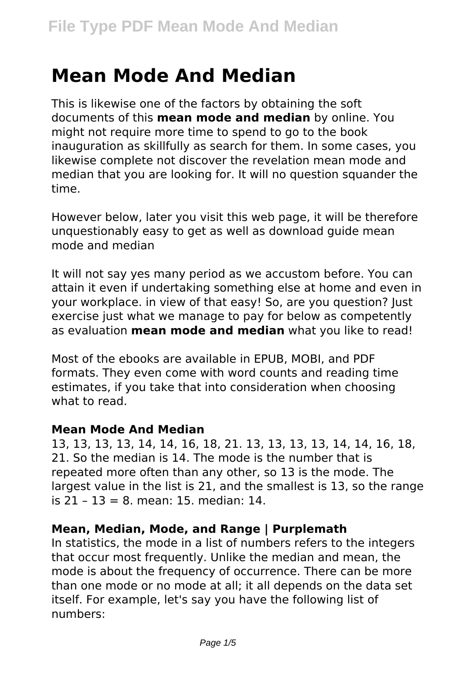# **Mean Mode And Median**

This is likewise one of the factors by obtaining the soft documents of this **mean mode and median** by online. You might not require more time to spend to go to the book inauguration as skillfully as search for them. In some cases, you likewise complete not discover the revelation mean mode and median that you are looking for. It will no question squander the time.

However below, later you visit this web page, it will be therefore unquestionably easy to get as well as download guide mean mode and median

It will not say yes many period as we accustom before. You can attain it even if undertaking something else at home and even in your workplace. in view of that easy! So, are you question? Just exercise just what we manage to pay for below as competently as evaluation **mean mode and median** what you like to read!

Most of the ebooks are available in EPUB, MOBI, and PDF formats. They even come with word counts and reading time estimates, if you take that into consideration when choosing what to read.

#### **Mean Mode And Median**

13, 13, 13, 13, 14, 14, 16, 18, 21. 13, 13, 13, 13, 14, 14, 16, 18, 21. So the median is 14. The mode is the number that is repeated more often than any other, so 13 is the mode. The largest value in the list is 21, and the smallest is 13, so the range  $is 21 - 13 = 8$  mean: 15 median: 14

# **Mean, Median, Mode, and Range | Purplemath**

In statistics, the mode in a list of numbers refers to the integers that occur most frequently. Unlike the median and mean, the mode is about the frequency of occurrence. There can be more than one mode or no mode at all; it all depends on the data set itself. For example, let's say you have the following list of numbers: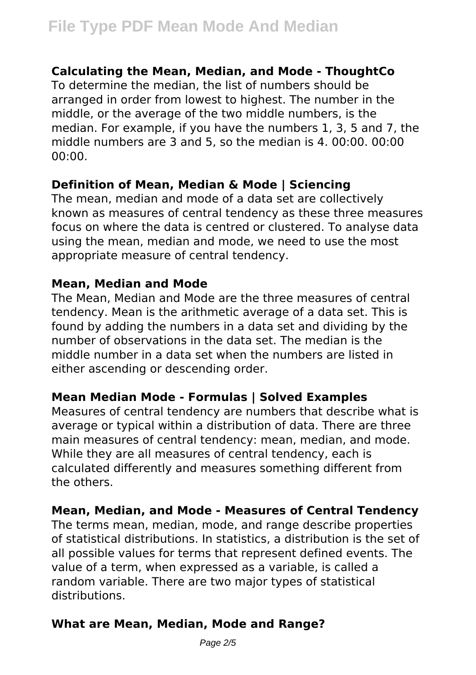# **Calculating the Mean, Median, and Mode - ThoughtCo**

To determine the median, the list of numbers should be arranged in order from lowest to highest. The number in the middle, or the average of the two middle numbers, is the median. For example, if you have the numbers 1, 3, 5 and 7, the middle numbers are 3 and 5, so the median is 4. 00:00. 00:00 00:00.

## **Definition of Mean, Median & Mode | Sciencing**

The mean, median and mode of a data set are collectively known as measures of central tendency as these three measures focus on where the data is centred or clustered. To analyse data using the mean, median and mode, we need to use the most appropriate measure of central tendency.

#### **Mean, Median and Mode**

The Mean, Median and Mode are the three measures of central tendency. Mean is the arithmetic average of a data set. This is found by adding the numbers in a data set and dividing by the number of observations in the data set. The median is the middle number in a data set when the numbers are listed in either ascending or descending order.

# **Mean Median Mode - Formulas | Solved Examples**

Measures of central tendency are numbers that describe what is average or typical within a distribution of data. There are three main measures of central tendency: mean, median, and mode. While they are all measures of central tendency, each is calculated differently and measures something different from the others.

#### **Mean, Median, and Mode - Measures of Central Tendency**

The terms mean, median, mode, and range describe properties of statistical distributions. In statistics, a distribution is the set of all possible values for terms that represent defined events. The value of a term, when expressed as a variable, is called a random variable. There are two major types of statistical distributions.

# **What are Mean, Median, Mode and Range?**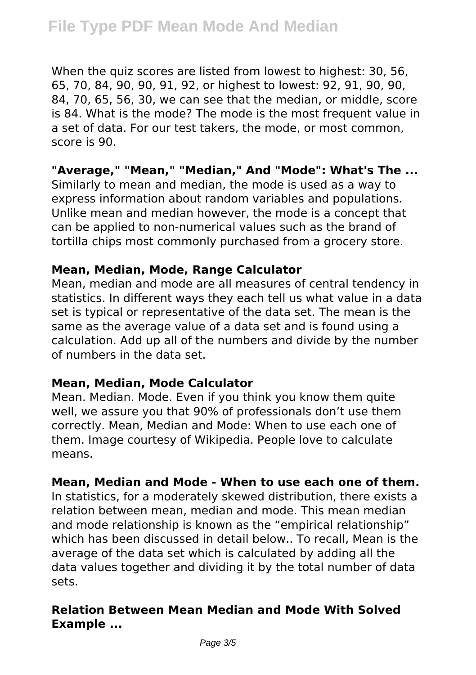When the quiz scores are listed from lowest to highest: 30, 56, 65, 70, 84, 90, 90, 91, 92, or highest to lowest: 92, 91, 90, 90, 84, 70, 65, 56, 30, we can see that the median, or middle, score is 84. What is the mode? The mode is the most frequent value in a set of data. For our test takers, the mode, or most common, score is 90.

## **"Average," "Mean," "Median," And "Mode": What's The ...**

Similarly to mean and median, the mode is used as a way to express information about random variables and populations. Unlike mean and median however, the mode is a concept that can be applied to non-numerical values such as the brand of tortilla chips most commonly purchased from a grocery store.

#### **Mean, Median, Mode, Range Calculator**

Mean, median and mode are all measures of central tendency in statistics. In different ways they each tell us what value in a data set is typical or representative of the data set. The mean is the same as the average value of a data set and is found using a calculation. Add up all of the numbers and divide by the number of numbers in the data set.

#### **Mean, Median, Mode Calculator**

Mean. Median. Mode. Even if you think you know them quite well, we assure you that 90% of professionals don't use them correctly. Mean, Median and Mode: When to use each one of them. Image courtesy of Wikipedia. People love to calculate means.

# **Mean, Median and Mode - When to use each one of them.**

In statistics, for a moderately skewed distribution, there exists a relation between mean, median and mode. This mean median and mode relationship is known as the "empirical relationship" which has been discussed in detail below.. To recall, Mean is the average of the data set which is calculated by adding all the data values together and dividing it by the total number of data sets.

# **Relation Between Mean Median and Mode With Solved Example ...**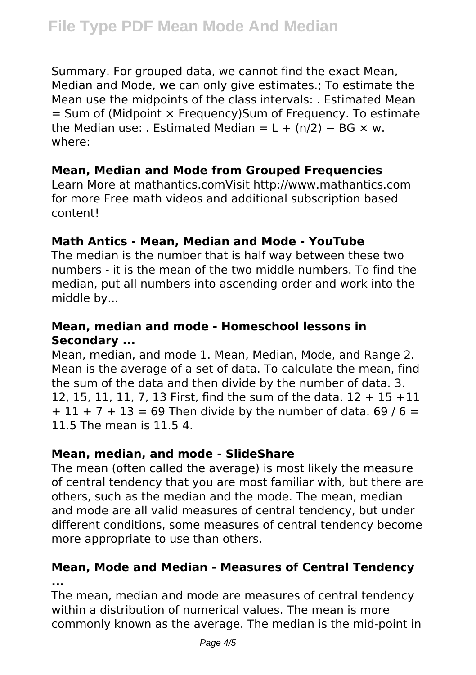Summary. For grouped data, we cannot find the exact Mean, Median and Mode, we can only give estimates.; To estimate the Mean use the midpoints of the class intervals: . Estimated Mean  $=$  Sum of (Midpoint  $\times$  Frequency)Sum of Frequency. To estimate the Median use: . Estimated Median =  $L + (n/2) - BG \times w$ . where:

# **Mean, Median and Mode from Grouped Frequencies**

Learn More at mathantics.comVisit http://www.mathantics.com for more Free math videos and additional subscription based content!

# **Math Antics - Mean, Median and Mode - YouTube**

The median is the number that is half way between these two numbers - it is the mean of the two middle numbers. To find the median, put all numbers into ascending order and work into the middle by...

# **Mean, median and mode - Homeschool lessons in Secondary ...**

Mean, median, and mode 1. Mean, Median, Mode, and Range 2. Mean is the average of a set of data. To calculate the mean, find the sum of the data and then divide by the number of data. 3. 12, 15, 11, 11, 7, 13 First, find the sum of the data. 12 + 15 +11  $+ 11 + 7 + 13 = 69$  Then divide by the number of data. 69 / 6 = 11.5 The mean is 11.5 4.

# **Mean, median, and mode - SlideShare**

The mean (often called the average) is most likely the measure of central tendency that you are most familiar with, but there are others, such as the median and the mode. The mean, median and mode are all valid measures of central tendency, but under different conditions, some measures of central tendency become more appropriate to use than others.

# **Mean, Mode and Median - Measures of Central Tendency ...**

The mean, median and mode are measures of central tendency within a distribution of numerical values. The mean is more commonly known as the average. The median is the mid-point in